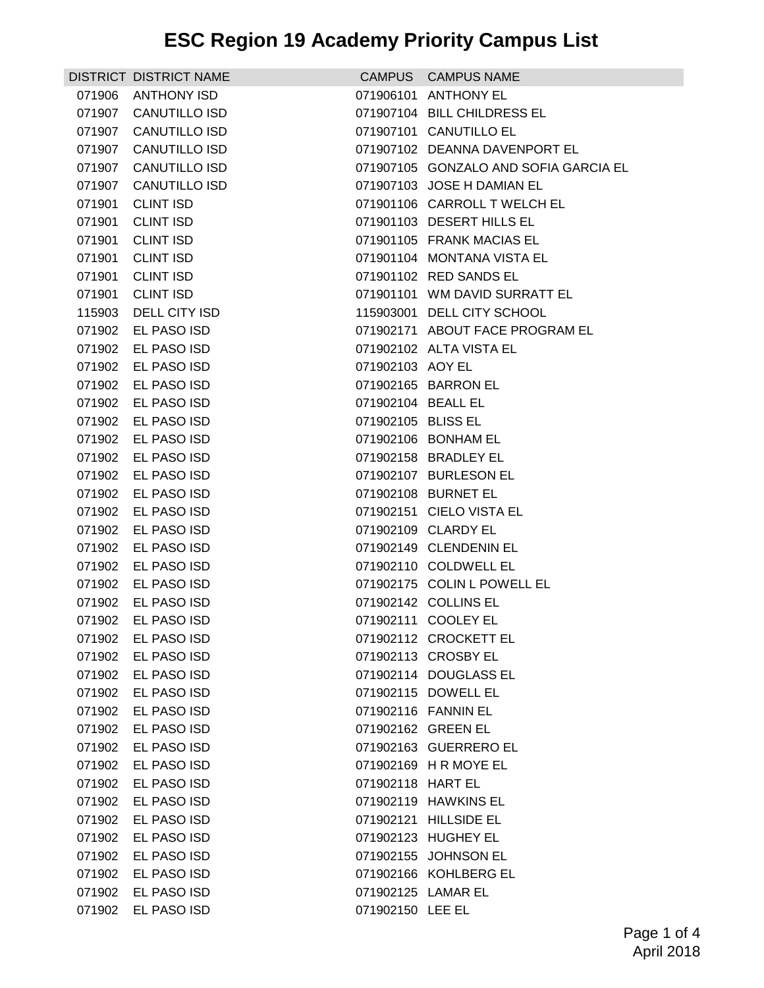|        | DISTRICT DISTRICT NAME |                    | CAMPUS CAMPUS NAME                    |
|--------|------------------------|--------------------|---------------------------------------|
| 071906 | <b>ANTHONY ISD</b>     |                    | 071906101 ANTHONY EL                  |
| 071907 | <b>CANUTILLO ISD</b>   |                    | 071907104 BILL CHILDRESS EL           |
| 071907 | <b>CANUTILLO ISD</b>   |                    | 071907101 CANUTILLO EL                |
|        | 071907 CANUTILLO ISD   |                    | 071907102 DEANNA DAVENPORT EL         |
|        | 071907 CANUTILLO ISD   |                    | 071907105 GONZALO AND SOFIA GARCIA EL |
| 071907 | <b>CANUTILLO ISD</b>   |                    | 071907103 JOSE H DAMIAN EL            |
| 071901 | <b>CLINT ISD</b>       |                    | 071901106 CARROLL T WELCH EL          |
| 071901 | <b>CLINT ISD</b>       |                    | 071901103 DESERT HILLS EL             |
| 071901 | <b>CLINT ISD</b>       |                    | 071901105 FRANK MACIAS EL             |
| 071901 | <b>CLINT ISD</b>       |                    | 071901104 MONTANA VISTA EL            |
| 071901 | <b>CLINT ISD</b>       |                    | 071901102 RED SANDS EL                |
| 071901 | <b>CLINT ISD</b>       |                    | 071901101 WM DAVID SURRATT EL         |
| 115903 | DELL CITY ISD          |                    | 115903001 DELL CITY SCHOOL            |
| 071902 | EL PASO ISD            |                    | 071902171 ABOUT FACE PROGRAM EL       |
| 071902 | EL PASO ISD            |                    | 071902102 ALTA VISTA EL               |
| 071902 | EL PASO ISD            | 071902103 AOY EL   |                                       |
| 071902 | EL PASO ISD            |                    | 071902165 BARRON EL                   |
| 071902 | EL PASO ISD            | 071902104 BEALL EL |                                       |
| 071902 | EL PASO ISD            | 071902105 BLISS EL |                                       |
| 071902 | EL PASO ISD            |                    | 071902106 BONHAM EL                   |
| 071902 | EL PASO ISD            |                    | 071902158 BRADLEY EL                  |
| 071902 | EL PASO ISD            |                    | 071902107 BURLESON EL                 |
| 071902 | EL PASO ISD            |                    | 071902108 BURNET EL                   |
| 071902 | EL PASO ISD            |                    | 071902151 CIELO VISTA EL              |
| 071902 | EL PASO ISD            |                    | 071902109 CLARDY EL                   |
| 071902 | EL PASO ISD            |                    | 071902149 CLENDENIN EL                |
| 071902 | EL PASO ISD            |                    | 071902110 COLDWELL EL                 |
| 071902 | EL PASO ISD            |                    | 071902175 COLIN L POWELL EL           |
| 071902 | EL PASO ISD            |                    | 071902142 COLLINS EL                  |
|        | 071902 EL PASO ISD     |                    | 071902111 COOLEY EL                   |
|        | 071902 EL PASO ISD     |                    | 071902112 CROCKETT EL                 |
| 071902 | EL PASO ISD            |                    | 071902113 CROSBY EL                   |
| 071902 | EL PASO ISD            |                    | 071902114 DOUGLASS EL                 |
| 071902 | EL PASO ISD            |                    | 071902115 DOWELL EL                   |
| 071902 | EL PASO ISD            |                    | 071902116 FANNIN EL                   |
| 071902 | EL PASO ISD            |                    | 071902162 GREEN EL                    |
| 071902 | EL PASO ISD            |                    | 071902163 GUERRERO EL                 |
| 071902 | EL PASO ISD            |                    | 071902169 H R MOYE EL                 |
| 071902 | EL PASO ISD            | 071902118 HART EL  |                                       |
| 071902 | EL PASO ISD            |                    | 071902119 HAWKINS EL                  |
| 071902 | EL PASO ISD            |                    | 071902121 HILLSIDE EL                 |
| 071902 | EL PASO ISD            |                    | 071902123 HUGHEY EL                   |
| 071902 | EL PASO ISD            |                    | 071902155 JOHNSON EL                  |
| 071902 | EL PASO ISD            |                    | 071902166 KOHLBERG EL                 |
| 071902 | EL PASO ISD            | 071902125 LAMAR EL |                                       |
| 071902 | EL PASO ISD            | 071902150 LEE EL   |                                       |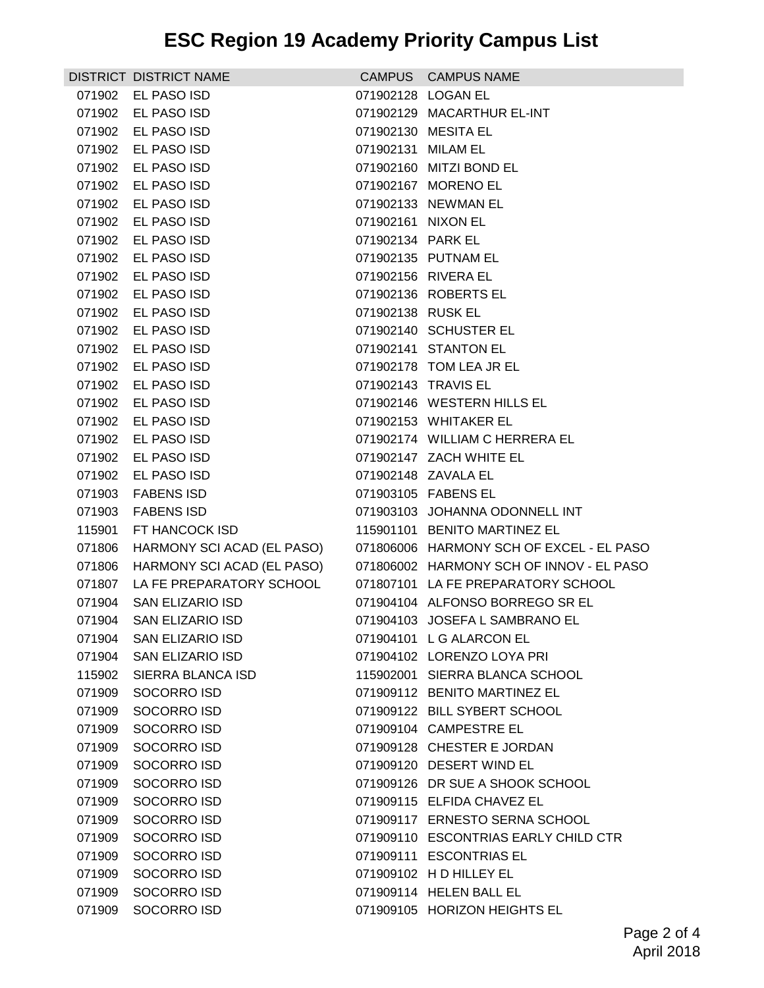|        | <b>DISTRICT DISTRICT NAME</b> |                    | CAMPUS CAMPUS NAME                       |
|--------|-------------------------------|--------------------|------------------------------------------|
|        | 071902 EL PASO ISD            | 071902128 LOGAN EL |                                          |
|        | 071902 EL PASO ISD            |                    | 071902129 MACARTHUR EL-INT               |
|        | 071902 EL PASO ISD            |                    | 071902130 MESITA EL                      |
|        | 071902 EL PASO ISD            | 071902131 MILAM EL |                                          |
|        | 071902 EL PASO ISD            |                    | 071902160 MITZI BOND EL                  |
| 071902 | EL PASO ISD                   |                    | 071902167 MORENO EL                      |
| 071902 | EL PASO ISD                   |                    | 071902133 NEWMAN EL                      |
|        | 071902 EL PASO ISD            | 071902161 NIXON EL |                                          |
|        | 071902 EL PASO ISD            | 071902134 PARK EL  |                                          |
|        | 071902 EL PASO ISD            |                    | 071902135 PUTNAM EL                      |
| 071902 | EL PASO ISD                   |                    | 071902156 RIVERA EL                      |
| 071902 | EL PASO ISD                   |                    | 071902136 ROBERTS EL                     |
|        | 071902 EL PASO ISD            | 071902138 RUSK EL  |                                          |
|        | 071902 EL PASO ISD            |                    | 071902140 SCHUSTER EL                    |
|        | 071902 EL PASO ISD            |                    | 071902141 STANTON EL                     |
| 071902 | EL PASO ISD                   |                    | 071902178 TOM LEA JR EL                  |
|        | 071902 EL PASO ISD            |                    | 071902143 TRAVIS EL                      |
| 071902 | EL PASO ISD                   |                    | 071902146 WESTERN HILLS EL               |
|        | 071902 EL PASO ISD            |                    | 071902153 WHITAKER EL                    |
|        | 071902 EL PASO ISD            |                    | 071902174 WILLIAM C HERRERA EL           |
| 071902 | EL PASO ISD                   |                    | 071902147 ZACH WHITE EL                  |
|        | 071902 EL PASO ISD            |                    | 071902148 ZAVALA EL                      |
|        | 071903 FABENS ISD             |                    | 071903105 FABENS EL                      |
|        | 071903 FABENS ISD             |                    | 071903103 JOHANNA ODONNELL INT           |
| 115901 | FT HANCOCK ISD                |                    | 115901101 BENITO MARTINEZ EL             |
| 071806 | HARMONY SCI ACAD (EL PASO)    |                    | 071806006 HARMONY SCH OF EXCEL - EL PASO |
| 071806 | HARMONY SCI ACAD (EL PASO)    |                    | 071806002 HARMONY SCH OF INNOV - EL PASO |
| 071807 | LA FE PREPARATORY SCHOOL      |                    | 071807101 LA FE PREPARATORY SCHOOL       |
|        | 071904 SAN ELIZARIO ISD       |                    | 071904104 ALFONSO BORREGO SR EL          |
|        | 071904 SAN ELIZARIO ISD       |                    | 071904103 JOSEFA L SAMBRANO EL           |
|        | 071904 SAN ELIZARIO ISD       |                    | 071904101 L G ALARCON EL                 |
| 071904 | <b>SAN ELIZARIO ISD</b>       |                    | 071904102 LORENZO LOYA PRI               |
| 115902 | SIERRA BLANCA ISD             |                    | 115902001 SIERRA BLANCA SCHOOL           |
| 071909 | SOCORRO ISD                   |                    | 071909112 BENITO MARTINEZ EL             |
| 071909 | SOCORRO ISD                   |                    | 071909122 BILL SYBERT SCHOOL             |
| 071909 | SOCORRO ISD                   |                    | 071909104 CAMPESTRE EL                   |
| 071909 | SOCORRO ISD                   |                    | 071909128 CHESTER E JORDAN               |
| 071909 | SOCORRO ISD                   |                    | 071909120 DESERT WIND EL                 |
| 071909 | SOCORRO ISD                   |                    | 071909126 DR SUE A SHOOK SCHOOL          |
| 071909 | SOCORRO ISD                   |                    | 071909115 ELFIDA CHAVEZ EL               |
| 071909 | SOCORRO ISD                   |                    | 071909117 ERNESTO SERNA SCHOOL           |
| 071909 | SOCORRO ISD                   |                    | 071909110 ESCONTRIAS EARLY CHILD CTR     |
| 071909 | SOCORRO ISD                   |                    | 071909111 ESCONTRIAS EL                  |
| 071909 | SOCORRO ISD                   |                    | 071909102 H D HILLEY EL                  |
| 071909 | SOCORRO ISD                   |                    | 071909114 HELEN BALL EL                  |
| 071909 | SOCORRO ISD                   |                    | 071909105 HORIZON HEIGHTS EL             |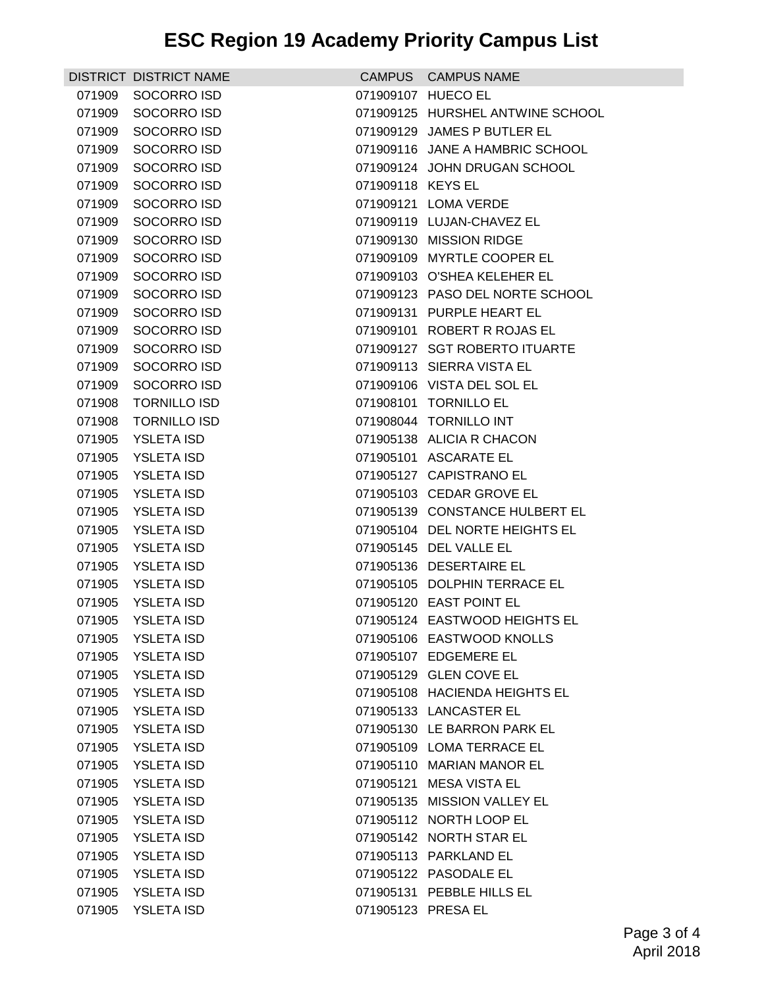## **ESC Region 19 Academy Priority Campus List**

|        | DISTRICT DISTRICT NAME |                    | CAMPUS CAMPUS NAME               |
|--------|------------------------|--------------------|----------------------------------|
| 071909 | SOCORRO ISD            |                    | 071909107 HUECO EL               |
| 071909 | SOCORRO ISD            |                    | 071909125 HURSHEL ANTWINE SCHOOL |
| 071909 | SOCORRO ISD            |                    | 071909129 JAMES P BUTLER EL      |
| 071909 | SOCORRO ISD            |                    | 071909116 JANE A HAMBRIC SCHOOL  |
| 071909 | SOCORRO ISD            |                    | 071909124 JOHN DRUGAN SCHOOL     |
| 071909 | SOCORRO ISD            | 071909118 KEYS EL  |                                  |
| 071909 | SOCORRO ISD            |                    | 071909121 LOMA VERDE             |
| 071909 | SOCORRO ISD            |                    | 071909119 LUJAN-CHAVEZ EL        |
| 071909 | SOCORRO ISD            |                    | 071909130 MISSION RIDGE          |
| 071909 | SOCORRO ISD            |                    | 071909109 MYRTLE COOPER EL       |
| 071909 | SOCORRO ISD            |                    | 071909103 O'SHEA KELEHER EL      |
| 071909 | SOCORRO ISD            |                    | 071909123 PASO DEL NORTE SCHOOL  |
| 071909 | SOCORRO ISD            |                    | 071909131 PURPLE HEART EL        |
| 071909 | SOCORRO ISD            |                    | 071909101 ROBERT R ROJAS EL      |
| 071909 | SOCORRO ISD            |                    | 071909127 SGT ROBERTO ITUARTE    |
| 071909 | SOCORRO ISD            |                    | 071909113 SIERRA VISTA EL        |
| 071909 | SOCORRO ISD            |                    | 071909106 VISTA DEL SOL EL       |
| 071908 | <b>TORNILLO ISD</b>    |                    | 071908101 TORNILLO EL            |
| 071908 | <b>TORNILLO ISD</b>    |                    | 071908044 TORNILLO INT           |
| 071905 | <b>YSLETA ISD</b>      |                    | 071905138 ALICIA R CHACON        |
| 071905 | <b>YSLETA ISD</b>      |                    | 071905101 ASCARATE EL            |
| 071905 | <b>YSLETA ISD</b>      |                    | 071905127 CAPISTRANO EL          |
| 071905 | <b>YSLETA ISD</b>      |                    | 071905103 CEDAR GROVE EL         |
| 071905 | <b>YSLETA ISD</b>      |                    | 071905139 CONSTANCE HULBERT EL   |
| 071905 | <b>YSLETA ISD</b>      |                    | 071905104 DEL NORTE HEIGHTS EL   |
| 071905 | <b>YSLETA ISD</b>      |                    | 071905145 DEL VALLE EL           |
| 071905 | <b>YSLETA ISD</b>      |                    | 071905136 DESERTAIRE EL          |
| 071905 | <b>YSLETA ISD</b>      |                    | 071905105 DOLPHIN TERRACE EL     |
| 071905 | <b>YSLETA ISD</b>      |                    | 071905120 EAST POINT EL          |
| 071905 | YSLETA ISD             |                    | 071905124 EASTWOOD HEIGHTS EL    |
|        | 071905 YSLETA ISD      |                    | 071905106 EASTWOOD KNOLLS        |
| 071905 | <b>YSLETA ISD</b>      |                    | 071905107 EDGEMERE EL            |
| 071905 | YSLETA ISD             |                    | 071905129 GLEN COVE EL           |
| 071905 | <b>YSLETA ISD</b>      |                    | 071905108 HACIENDA HEIGHTS EL    |
| 071905 | <b>YSLETA ISD</b>      |                    | 071905133 LANCASTER EL           |
| 071905 | <b>YSLETA ISD</b>      |                    | 071905130 LE BARRON PARK EL      |
| 071905 | <b>YSLETA ISD</b>      |                    | 071905109 LOMA TERRACE EL        |
| 071905 | <b>YSLETA ISD</b>      |                    | 071905110 MARIAN MANOR EL        |
| 071905 | <b>YSLETA ISD</b>      |                    | 071905121 MESA VISTA EL          |
| 071905 | <b>YSLETA ISD</b>      |                    | 071905135 MISSION VALLEY EL      |
| 071905 | <b>YSLETA ISD</b>      |                    | 071905112 NORTH LOOP EL          |
| 071905 | <b>YSLETA ISD</b>      |                    | 071905142 NORTH STAR EL          |
| 071905 | <b>YSLETA ISD</b>      |                    | 071905113 PARKLAND EL            |
| 071905 | <b>YSLETA ISD</b>      |                    | 071905122 PASODALE EL            |
| 071905 | <b>YSLETA ISD</b>      |                    | 071905131 PEBBLE HILLS EL        |
| 071905 | <b>YSLETA ISD</b>      | 071905123 PRESA EL |                                  |